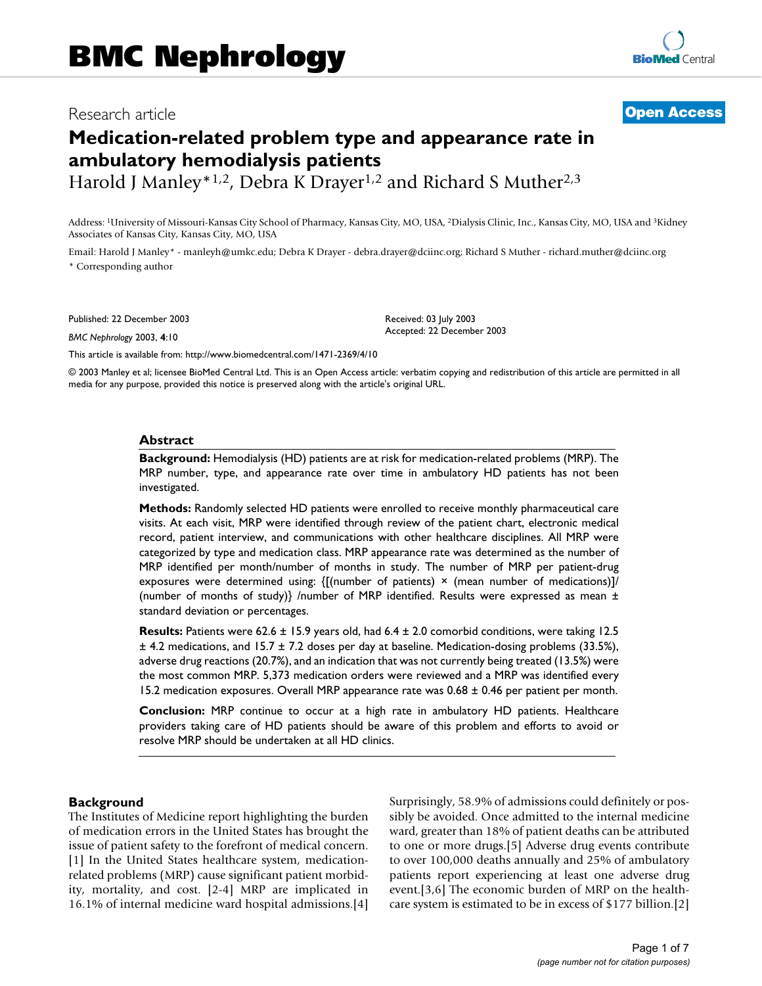# Research article **[Open Access](http://www.biomedcentral.com/info/about/charter/)**

# **Medication-related problem type and appearance rate in ambulatory hemodialysis patients**

Harold J Manley\*<sup>1,2</sup>, Debra K Drayer<sup>1,2</sup> and Richard S Muther<sup>2,3</sup>

Address: 1University of Missouri-Kansas City School of Pharmacy, Kansas City, MO, USA, 2Dialysis Clinic, Inc., Kansas City, MO, USA and 3Kidney Associates of Kansas City, Kansas City, MO, USA

Email: Harold J Manley\* - manleyh@umkc.edu; Debra K Drayer - debra.drayer@dciinc.org; Richard S Muther - richard.muther@dciinc.org \* Corresponding author

Published: 22 December 2003

*BMC Nephrology* 2003, **4**:10

Accepted: 22 December 2003

[This article is available from: http://www.biomedcentral.com/1471-2369/4/10](http://www.biomedcentral.com/1471-2369/4/10)

© 2003 Manley et al; licensee BioMed Central Ltd. This is an Open Access article: verbatim copying and redistribution of this article are permitted in all media for any purpose, provided this notice is preserved along with the article's original URL.

Received: 03 July 2003

#### **Abstract**

**Background:** Hemodialysis (HD) patients are at risk for medication-related problems (MRP). The MRP number, type, and appearance rate over time in ambulatory HD patients has not been investigated.

**Methods:** Randomly selected HD patients were enrolled to receive monthly pharmaceutical care visits. At each visit, MRP were identified through review of the patient chart, electronic medical record, patient interview, and communications with other healthcare disciplines. All MRP were categorized by type and medication class. MRP appearance rate was determined as the number of MRP identified per month/number of months in study. The number of MRP per patient-drug exposures were determined using:  $\{[(number of patients) \times (mean number of medications)]\}$ (number of months of study)} /number of MRP identified. Results were expressed as mean  $\pm$ standard deviation or percentages.

**Results:** Patients were 62.6 ± 15.9 years old, had 6.4 ± 2.0 comorbid conditions, were taking 12.5 ± 4.2 medications, and 15.7 ± 7.2 doses per day at baseline. Medication-dosing problems (33.5%), adverse drug reactions (20.7%), and an indication that was not currently being treated (13.5%) were the most common MRP. 5,373 medication orders were reviewed and a MRP was identified every 15.2 medication exposures. Overall MRP appearance rate was  $0.68 \pm 0.46$  per patient per month.

**Conclusion:** MRP continue to occur at a high rate in ambulatory HD patients. Healthcare providers taking care of HD patients should be aware of this problem and efforts to avoid or resolve MRP should be undertaken at all HD clinics.

#### **Background**

The Institutes of Medicine report highlighting the burden of medication errors in the United States has brought the issue of patient safety to the forefront of medical concern. [1] In the United States healthcare system, medicationrelated problems (MRP) cause significant patient morbidity, mortality, and cost. [2-4] MRP are implicated in 16.1% of internal medicine ward hospital admissions.[4] Surprisingly, 58.9% of admissions could definitely or possibly be avoided. Once admitted to the internal medicine ward, greater than 18% of patient deaths can be attributed to one or more drugs.[5] Adverse drug events contribute to over 100,000 deaths annually and 25% of ambulatory patients report experiencing at least one adverse drug event.[3,6] The economic burden of MRP on the healthcare system is estimated to be in excess of \$177 billion.[2]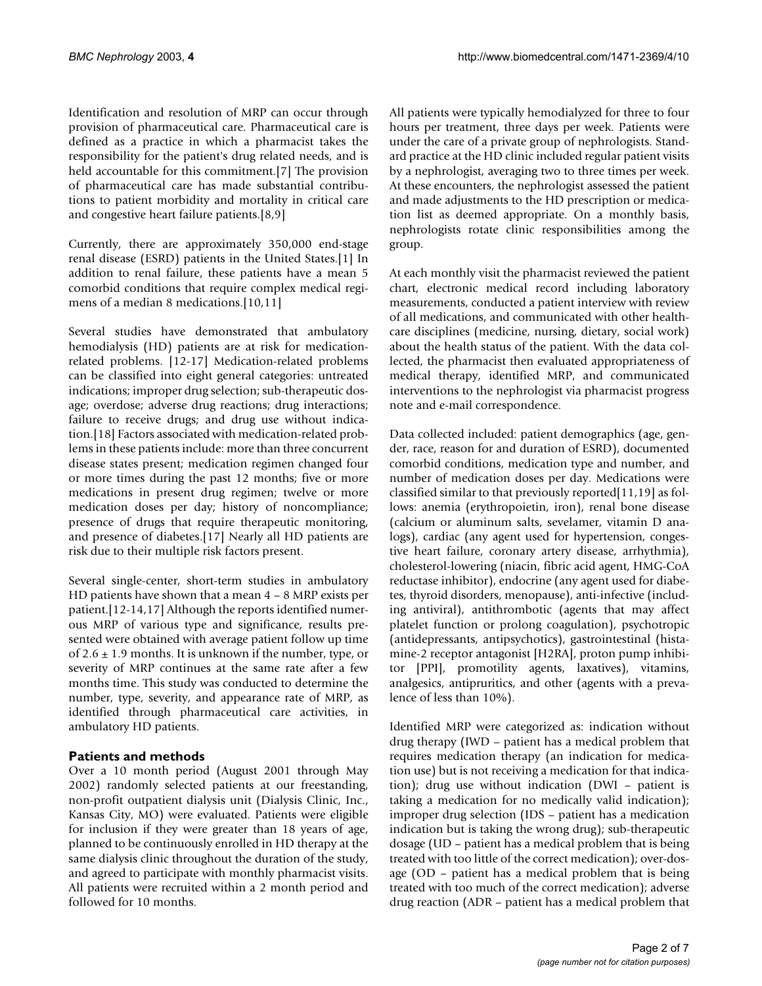Identification and resolution of MRP can occur through provision of pharmaceutical care. Pharmaceutical care is defined as a practice in which a pharmacist takes the responsibility for the patient's drug related needs, and is held accountable for this commitment.[7] The provision of pharmaceutical care has made substantial contributions to patient morbidity and mortality in critical care and congestive heart failure patients.[8,9]

Currently, there are approximately 350,000 end-stage renal disease (ESRD) patients in the United States.[1] In addition to renal failure, these patients have a mean 5 comorbid conditions that require complex medical regimens of a median 8 medications.[10,11]

Several studies have demonstrated that ambulatory hemodialysis (HD) patients are at risk for medicationrelated problems. [12-17] Medication-related problems can be classified into eight general categories: untreated indications; improper drug selection; sub-therapeutic dosage; overdose; adverse drug reactions; drug interactions; failure to receive drugs; and drug use without indication.[18] Factors associated with medication-related problems in these patients include: more than three concurrent disease states present; medication regimen changed four or more times during the past 12 months; five or more medications in present drug regimen; twelve or more medication doses per day; history of noncompliance; presence of drugs that require therapeutic monitoring, and presence of diabetes.[17] Nearly all HD patients are risk due to their multiple risk factors present.

Several single-center, short-term studies in ambulatory HD patients have shown that a mean 4 – 8 MRP exists per patient.[12-14,17] Although the reports identified numerous MRP of various type and significance, results presented were obtained with average patient follow up time of  $2.6 \pm 1.9$  months. It is unknown if the number, type, or severity of MRP continues at the same rate after a few months time. This study was conducted to determine the number, type, severity, and appearance rate of MRP, as identified through pharmaceutical care activities, in ambulatory HD patients.

## **Patients and methods**

Over a 10 month period (August 2001 through May 2002) randomly selected patients at our freestanding, non-profit outpatient dialysis unit (Dialysis Clinic, Inc., Kansas City, MO) were evaluated. Patients were eligible for inclusion if they were greater than 18 years of age, planned to be continuously enrolled in HD therapy at the same dialysis clinic throughout the duration of the study, and agreed to participate with monthly pharmacist visits. All patients were recruited within a 2 month period and followed for 10 months.

All patients were typically hemodialyzed for three to four hours per treatment, three days per week. Patients were under the care of a private group of nephrologists. Standard practice at the HD clinic included regular patient visits by a nephrologist, averaging two to three times per week. At these encounters, the nephrologist assessed the patient and made adjustments to the HD prescription or medication list as deemed appropriate. On a monthly basis, nephrologists rotate clinic responsibilities among the group.

At each monthly visit the pharmacist reviewed the patient chart, electronic medical record including laboratory measurements, conducted a patient interview with review of all medications, and communicated with other healthcare disciplines (medicine, nursing, dietary, social work) about the health status of the patient. With the data collected, the pharmacist then evaluated appropriateness of medical therapy, identified MRP, and communicated interventions to the nephrologist via pharmacist progress note and e-mail correspondence.

Data collected included: patient demographics (age, gender, race, reason for and duration of ESRD), documented comorbid conditions, medication type and number, and number of medication doses per day. Medications were classified similar to that previously reported[11,19] as follows: anemia (erythropoietin, iron), renal bone disease (calcium or aluminum salts, sevelamer, vitamin D analogs), cardiac (any agent used for hypertension, congestive heart failure, coronary artery disease, arrhythmia), cholesterol-lowering (niacin, fibric acid agent, HMG-CoA reductase inhibitor), endocrine (any agent used for diabetes, thyroid disorders, menopause), anti-infective (including antiviral), antithrombotic (agents that may affect platelet function or prolong coagulation), psychotropic (antidepressants, antipsychotics), gastrointestinal (histamine-2 receptor antagonist [H2RA], proton pump inhibitor [PPI], promotility agents, laxatives), vitamins, analgesics, antipruritics, and other (agents with a prevalence of less than 10%).

Identified MRP were categorized as: indication without drug therapy (IWD – patient has a medical problem that requires medication therapy (an indication for medication use) but is not receiving a medication for that indication); drug use without indication (DWI – patient is taking a medication for no medically valid indication); improper drug selection (IDS – patient has a medication indication but is taking the wrong drug); sub-therapeutic dosage (UD – patient has a medical problem that is being treated with too little of the correct medication); over-dosage (OD – patient has a medical problem that is being treated with too much of the correct medication); adverse drug reaction (ADR – patient has a medical problem that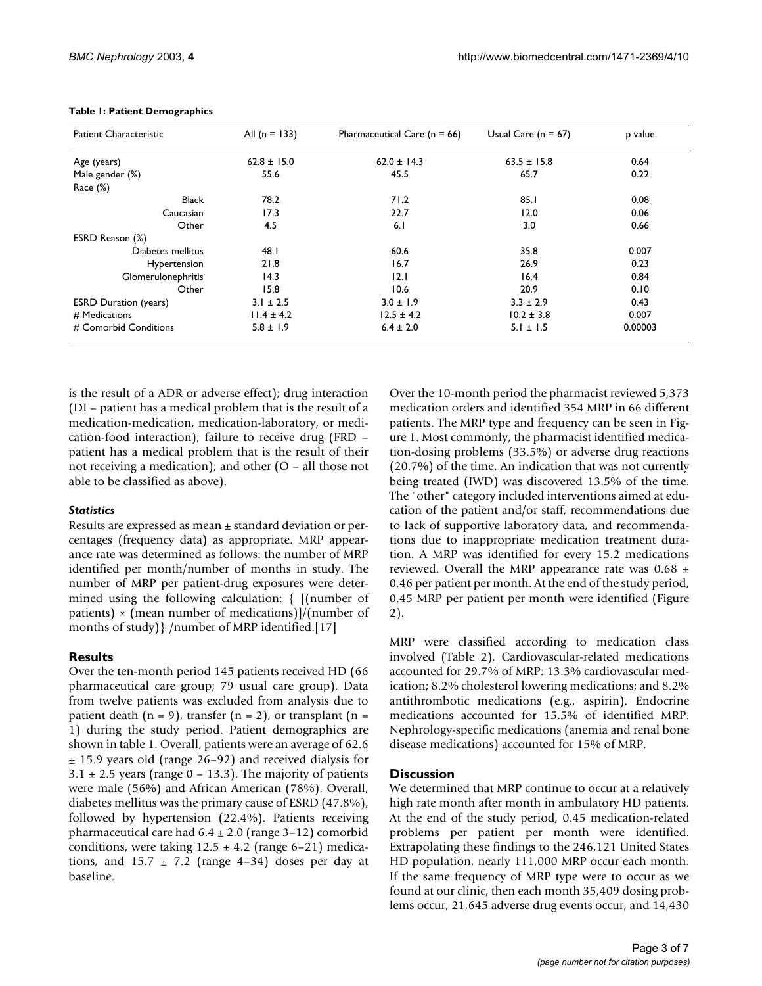| <b>Patient Characteristic</b> | All $(n = 133)$ | Pharmaceutical Care ( $n = 66$ ) | Usual Care ( $n = 67$ ) | p value |
|-------------------------------|-----------------|----------------------------------|-------------------------|---------|
| Age (years)                   | $62.8 \pm 15.0$ | $62.0 \pm 14.3$                  | $63.5 \pm 15.8$         | 0.64    |
| Male gender (%)               | 55.6            | 45.5                             | 65.7                    | 0.22    |
| Race $(\%)$                   |                 |                                  |                         |         |
| <b>Black</b>                  | 78.2            | 71.2                             | 85.1                    | 0.08    |
| Caucasian                     | 17.3            | 22.7                             | 12.0                    | 0.06    |
| Other                         | 4.5             | 6.1                              | 3.0                     | 0.66    |
| ESRD Reason (%)               |                 |                                  |                         |         |
| Diabetes mellitus             | 48.I            | 60.6                             | 35.8                    | 0.007   |
| Hypertension                  | 21.8            | 16.7                             | 26.9                    | 0.23    |
| Glomerulonephritis            | 14.3            | 12.1                             | 16.4                    | 0.84    |
| Other                         | 15.8            | 10.6                             | 20.9                    | 0.10    |
| <b>ESRD Duration (years)</b>  | $3.1 \pm 2.5$   | $3.0 \pm 1.9$                    | $3.3 \pm 2.9$           | 0.43    |
| # Medications                 | $11.4 \pm 4.2$  | $12.5 \pm 4.2$                   | $10.2 \pm 3.8$          | 0.007   |
| # Comorbid Conditions         | $5.8 \pm 1.9$   | $6.4 \pm 2.0$                    | $5.1 \pm 1.5$           | 0.00003 |

#### <span id="page-2-0"></span>**Table 1: Patient Demographics**

is the result of a ADR or adverse effect); drug interaction (DI – patient has a medical problem that is the result of a medication-medication, medication-laboratory, or medication-food interaction); failure to receive drug (FRD – patient has a medical problem that is the result of their not receiving a medication); and other (O – all those not able to be classified as above).

## *Statistics*

Results are expressed as mean ± standard deviation or percentages (frequency data) as appropriate. MRP appearance rate was determined as follows: the number of MRP identified per month/number of months in study. The number of MRP per patient-drug exposures were determined using the following calculation: { [(number of patients)  $\times$  (mean number of medications)]/(number of months of study) { /number of MRP identified.[17]

## **Results**

Over the ten-month period 145 patients received HD (66 pharmaceutical care group; 79 usual care group). Data from twelve patients was excluded from analysis due to patient death  $(n = 9)$ , transfer  $(n = 2)$ , or transplant  $(n = 1)$ 1) during the study period. Patient demographics are shown in table [1](#page-2-0). Overall, patients were an average of 62.6 ± 15.9 years old (range 26–92) and received dialysis for  $3.1 \pm 2.5$  years (range 0 – 13.3). The majority of patients were male (56%) and African American (78%). Overall, diabetes mellitus was the primary cause of ESRD (47.8%), followed by hypertension (22.4%). Patients receiving pharmaceutical care had  $6.4 \pm 2.0$  (range 3-12) comorbid conditions, were taking  $12.5 \pm 4.2$  (range 6–21) medications, and  $15.7 \pm 7.2$  (range 4-34) doses per day at baseline.

Over the 10-month period the pharmacist reviewed 5,373 medication orders and identified 354 MRP in 66 different patients. The MRP type and frequency can be seen in Figure [1](#page-3-0). Most commonly, the pharmacist identified medication-dosing problems (33.5%) or adverse drug reactions (20.7%) of the time. An indication that was not currently being treated (IWD) was discovered 13.5% of the time. The "other" category included interventions aimed at education of the patient and/or staff, recommendations due to lack of supportive laboratory data, and recommendations due to inappropriate medication treatment duration. A MRP was identified for every 15.2 medications reviewed. Overall the MRP appearance rate was  $0.68 \pm$ 0.46 per patient per month. At the end of the study period, 0.45 MRP per patient per month were identified (Figure [2](#page-4-0)).

MRP were classified according to medication class involved (Table [2\)](#page-4-1). Cardiovascular-related medications accounted for 29.7% of MRP: 13.3% cardiovascular medication; 8.2% cholesterol lowering medications; and 8.2% antithrombotic medications (e.g., aspirin). Endocrine medications accounted for 15.5% of identified MRP. Nephrology-specific medications (anemia and renal bone disease medications) accounted for 15% of MRP.

## **Discussion**

We determined that MRP continue to occur at a relatively high rate month after month in ambulatory HD patients. At the end of the study period, 0.45 medication-related problems per patient per month were identified. Extrapolating these findings to the 246,121 United States HD population, nearly 111,000 MRP occur each month. If the same frequency of MRP type were to occur as we found at our clinic, then each month 35,409 dosing problems occur, 21,645 adverse drug events occur, and 14,430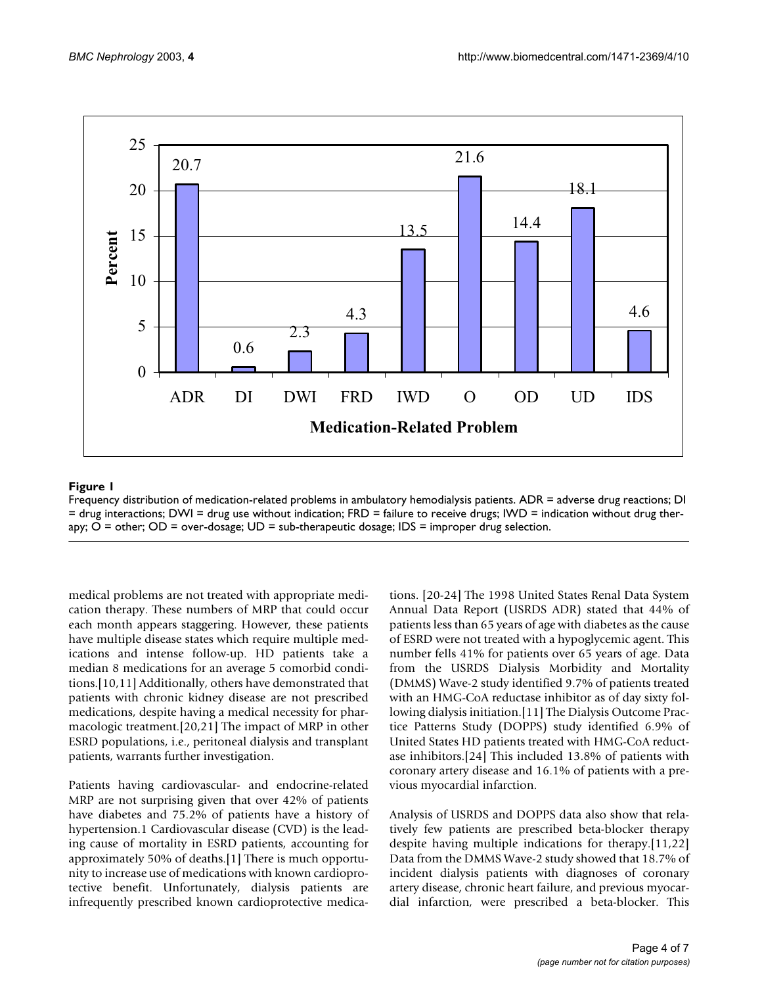<span id="page-3-0"></span>

## Frequency distribution of medi **Figure 1** cation-related problems in ambulatory hemodialysis patients

Frequency distribution of medication-related problems in ambulatory hemodialysis patients. ADR = adverse drug reactions; DI = drug interactions; DWI = drug use without indication; FRD = failure to receive drugs; IWD = indication without drug therapy; O = other; OD = over-dosage; UD = sub-therapeutic dosage; IDS = improper drug selection.

medical problems are not treated with appropriate medication therapy. These numbers of MRP that could occur each month appears staggering. However, these patients have multiple disease states which require multiple medications and intense follow-up. HD patients take a median 8 medications for an average 5 comorbid conditions.[10,11] Additionally, others have demonstrated that patients with chronic kidney disease are not prescribed medications, despite having a medical necessity for pharmacologic treatment.[20,21] The impact of MRP in other ESRD populations, i.e., peritoneal dialysis and transplant patients, warrants further investigation.

Patients having cardiovascular- and endocrine-related MRP are not surprising given that over 42% of patients have diabetes and 75.2% of patients have a history of hypertension.1 Cardiovascular disease (CVD) is the leading cause of mortality in ESRD patients, accounting for approximately 50% of deaths.[1] There is much opportunity to increase use of medications with known cardioprotective benefit. Unfortunately, dialysis patients are infrequently prescribed known cardioprotective medications. [20-24] The 1998 United States Renal Data System Annual Data Report (USRDS ADR) stated that 44% of patients less than 65 years of age with diabetes as the cause of ESRD were not treated with a hypoglycemic agent. This number fells 41% for patients over 65 years of age. Data from the USRDS Dialysis Morbidity and Mortality (DMMS) Wave-2 study identified 9.7% of patients treated with an HMG-CoA reductase inhibitor as of day sixty following dialysis initiation.[11] The Dialysis Outcome Practice Patterns Study (DOPPS) study identified 6.9% of United States HD patients treated with HMG-CoA reductase inhibitors.[24] This included 13.8% of patients with coronary artery disease and 16.1% of patients with a previous myocardial infarction.

Analysis of USRDS and DOPPS data also show that relatively few patients are prescribed beta-blocker therapy despite having multiple indications for therapy.[11,22] Data from the DMMS Wave-2 study showed that 18.7% of incident dialysis patients with diagnoses of coronary artery disease, chronic heart failure, and previous myocardial infarction, were prescribed a beta-blocker. This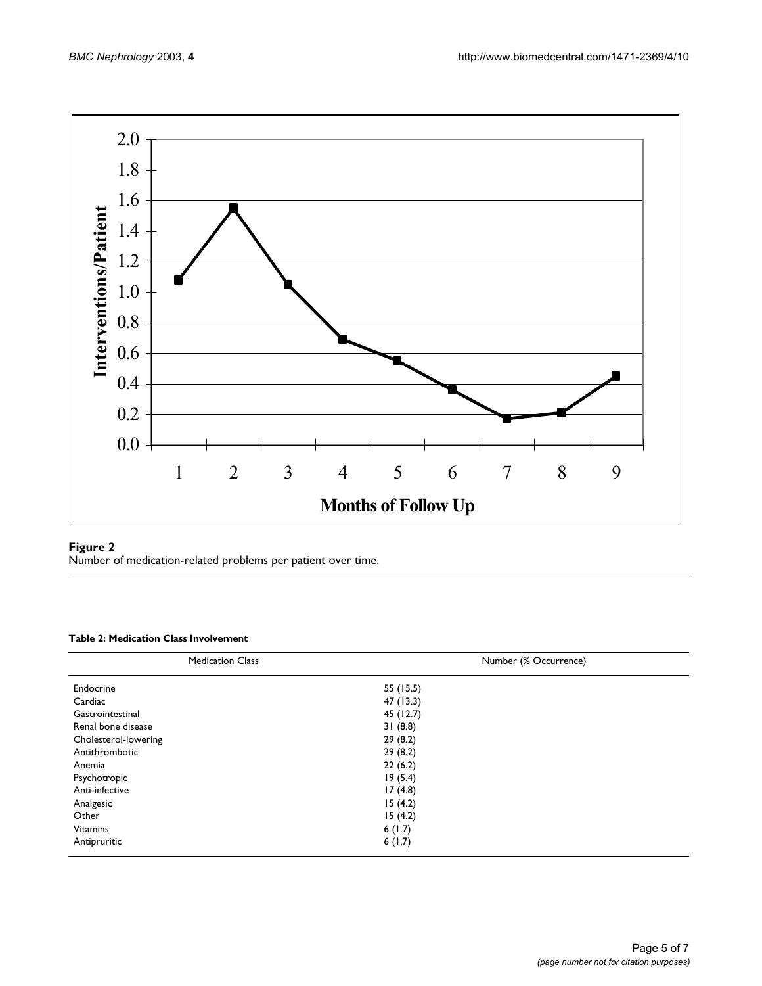<span id="page-4-0"></span>

## Figure 2

Number of medication-related problems per patient over time.

#### <span id="page-4-1"></span>**Table 2: Medication Class Involvement**

| <b>Medication Class</b> | Number (% Occurrence) |  |  |
|-------------------------|-----------------------|--|--|
| Endocrine               | 55 (15.5)             |  |  |
| Cardiac                 | 47 (13.3)             |  |  |
| Gastrointestinal        | 45 (12.7)             |  |  |
| Renal bone disease      | 31(8.8)               |  |  |
| Cholesterol-lowering    | 29(8.2)               |  |  |
| Antithrombotic          | 29(8.2)               |  |  |
| Anemia                  | 22(6.2)               |  |  |
| Psychotropic            | 19(5.4)               |  |  |
| Anti-infective          | 17(4.8)               |  |  |
| Analgesic               | 15(4.2)               |  |  |
| Other                   | 15(4.2)               |  |  |
| <b>Vitamins</b>         | 6(1.7)                |  |  |
| Antipruritic            | 6(1.7)                |  |  |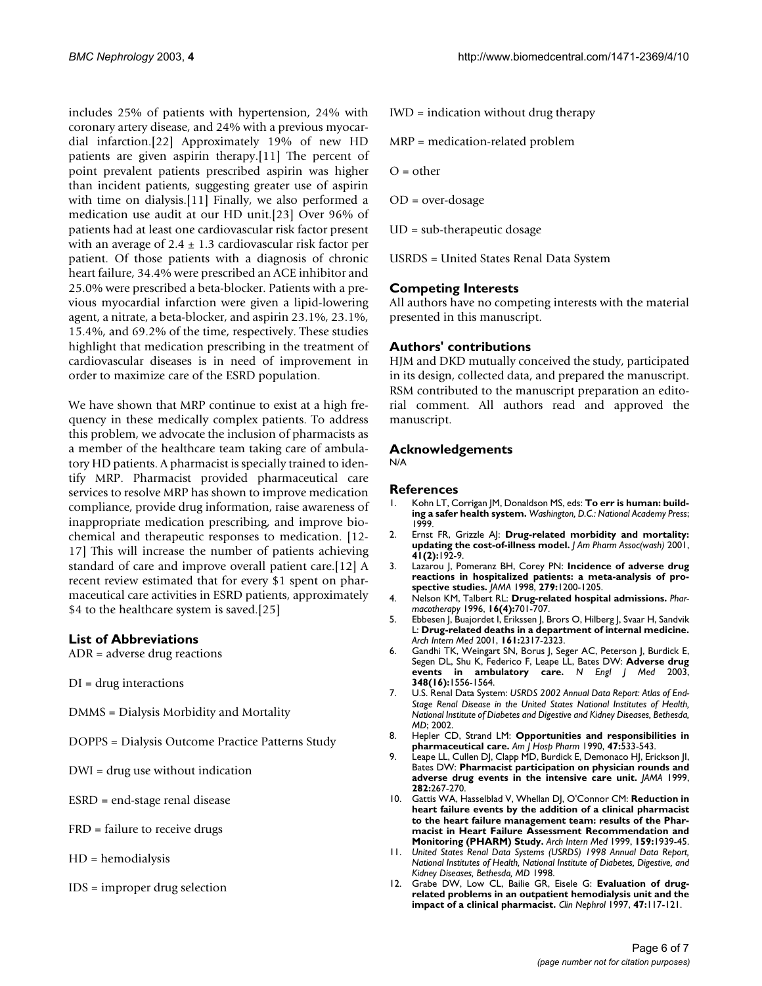includes 25% of patients with hypertension, 24% with coronary artery disease, and 24% with a previous myocardial infarction.[22] Approximately 19% of new HD patients are given aspirin therapy.[11] The percent of point prevalent patients prescribed aspirin was higher than incident patients, suggesting greater use of aspirin with time on dialysis.[11] Finally, we also performed a medication use audit at our HD unit.[23] Over 96% of patients had at least one cardiovascular risk factor present with an average of  $2.4 \pm 1.3$  cardiovascular risk factor per patient. Of those patients with a diagnosis of chronic heart failure, 34.4% were prescribed an ACE inhibitor and 25.0% were prescribed a beta-blocker. Patients with a previous myocardial infarction were given a lipid-lowering agent, a nitrate, a beta-blocker, and aspirin 23.1%, 23.1%, 15.4%, and 69.2% of the time, respectively. These studies highlight that medication prescribing in the treatment of cardiovascular diseases is in need of improvement in order to maximize care of the ESRD population.

We have shown that MRP continue to exist at a high frequency in these medically complex patients. To address this problem, we advocate the inclusion of pharmacists as a member of the healthcare team taking care of ambulatory HD patients. A pharmacist is specially trained to identify MRP. Pharmacist provided pharmaceutical care services to resolve MRP has shown to improve medication compliance, provide drug information, raise awareness of inappropriate medication prescribing, and improve biochemical and therapeutic responses to medication. [12- 17] This will increase the number of patients achieving standard of care and improve overall patient care.[12] A recent review estimated that for every \$1 spent on pharmaceutical care activities in ESRD patients, approximately \$4 to the healthcare system is saved.[25]

## **List of Abbreviations**

ADR = adverse drug reactions

- DI = drug interactions
- DMMS = Dialysis Morbidity and Mortality

DOPPS = Dialysis Outcome Practice Patterns Study

- DWI = drug use without indication
- ESRD = end-stage renal disease
- FRD = failure to receive drugs
- HD = hemodialysis
- IDS = improper drug selection

IWD = indication without drug therapy

MRP = medication-related problem

 $O =$  other

- OD = over-dosage
- UD = sub-therapeutic dosage

USRDS = United States Renal Data System

## **Competing Interests**

All authors have no competing interests with the material presented in this manuscript.

## **Authors' contributions**

HJM and DKD mutually conceived the study, participated in its design, collected data, and prepared the manuscript. RSM contributed to the manuscript preparation an editorial comment. All authors read and approved the manuscript.

#### **Acknowledgements**

N/A

#### **References**

- 1. Kohn LT, Corrigan JM, Donaldson MS, eds: **To err is human: building a safer health system.** *Washington, D.C.: National Academy Press*; 1999.
- 2. Ernst FR, Grizzle AJ: **[Drug-related morbidity and mortality:](http://www.ncbi.nlm.nih.gov/entrez/query.fcgi?cmd=Retrieve&db=PubMed&dopt=Abstract&list_uids=11297331) [updating the cost-of-illness model.](http://www.ncbi.nlm.nih.gov/entrez/query.fcgi?cmd=Retrieve&db=PubMed&dopt=Abstract&list_uids=11297331)** *J Am Pharm Assoc(wash)* 2001, **41(2):**192-9.
- 3. Lazarou J, Pomeranz BH, Corey PN: **[Incidence of adverse drug](http://www.ncbi.nlm.nih.gov/entrez/query.fcgi?cmd=Retrieve&db=PubMed&dopt=Abstract&list_uids=10.1001/jama.279.15.1200) [reactions in hospitalized patients: a meta-analysis of pro](http://www.ncbi.nlm.nih.gov/entrez/query.fcgi?cmd=Retrieve&db=PubMed&dopt=Abstract&list_uids=10.1001/jama.279.15.1200)[spective studies](http://www.ncbi.nlm.nih.gov/entrez/query.fcgi?cmd=Retrieve&db=PubMed&dopt=Abstract&list_uids=10.1001/jama.279.15.1200)[.](http://www.ncbi.nlm.nih.gov/entrez/query.fcgi?cmd=Retrieve&db=PubMed&dopt=Abstract&list_uids=9555760)** *JAMA* 1998, **279:**1200-1205.
- 4. Nelson KM, Talbert RL: **[Drug-related hospital admissions.](http://www.ncbi.nlm.nih.gov/entrez/query.fcgi?cmd=Retrieve&db=PubMed&dopt=Abstract&list_uids=8840382)** *Pharmacotherapy* 1996, **16(4):**701-707.
- 5. Ebbesen J, Buajordet I, Erikssen J, Brors O, Hilberg J, Svaar H, Sandvik L: **[Drug-related deaths in a department of internal medicine](http://www.ncbi.nlm.nih.gov/entrez/query.fcgi?cmd=Retrieve&db=PubMed&dopt=Abstract&list_uids=10.1001/archinte.161.19.2317)[.](http://www.ncbi.nlm.nih.gov/entrez/query.fcgi?cmd=Retrieve&db=PubMed&dopt=Abstract&list_uids=11606147)** *Arch Intern Med* 2001, **161:**2317-2323.
- 6. Gandhi TK, Weingart SN, Borus J, Seger AC, Peterson J, Burdick E, Segen DL, Shu K, Federico F, Leape LL, Bates DW: **[Adverse drug](http://www.ncbi.nlm.nih.gov/entrez/query.fcgi?cmd=Retrieve&db=PubMed&dopt=Abstract&list_uids=12700376) [events in ambulatory care](http://www.ncbi.nlm.nih.gov/entrez/query.fcgi?cmd=Retrieve&db=PubMed&dopt=Abstract&list_uids=12700376)[.](http://www.ncbi.nlm.nih.gov/entrez/query.fcgi?cmd=Retrieve&db=PubMed&dopt=Abstract&list_uids=10.1056/NEJMsa020703)** *N Engl J Med* 2003, **348(16):**1556-1564.
- 7. U.S. Renal Data System: *USRDS 2002 Annual Data Report: Atlas of End-Stage Renal Disease in the United States National Institutes of Health, National Institute of Diabetes and Digestive and Kidney Diseases, Bethesda, MD*; 2002.
- 8. Hepler CD, Strand LM: **[Opportunities and responsibilities in](http://www.ncbi.nlm.nih.gov/entrez/query.fcgi?cmd=Retrieve&db=PubMed&dopt=Abstract&list_uids=2316538) [pharmaceutical care.](http://www.ncbi.nlm.nih.gov/entrez/query.fcgi?cmd=Retrieve&db=PubMed&dopt=Abstract&list_uids=2316538)** *Am J Hosp Pharm* 1990, **47:**533-543.
- 9. Leape LL, Cullen DJ, Clapp MD, Burdick E, Demonaco HJ, Erickson JI, Bates DW: **[Pharmacist participation on physician rounds and](http://www.ncbi.nlm.nih.gov/entrez/query.fcgi?cmd=Retrieve&db=PubMed&dopt=Abstract&list_uids=10.1001/jama.282.3.267) [adverse drug events in the intensive care unit](http://www.ncbi.nlm.nih.gov/entrez/query.fcgi?cmd=Retrieve&db=PubMed&dopt=Abstract&list_uids=10.1001/jama.282.3.267)[.](http://www.ncbi.nlm.nih.gov/entrez/query.fcgi?cmd=Retrieve&db=PubMed&dopt=Abstract&list_uids=10422996)** *JAMA* 1999, **282:**267-270.
- 10. Gattis WA, Hasselblad V, Whellan DJ, O'Connor CM: **[Reduction in](http://www.ncbi.nlm.nih.gov/entrez/query.fcgi?cmd=Retrieve&db=PubMed&dopt=Abstract&list_uids=10.1001/archinte.159.16.1939) [heart failure events by the addition of a clinical pharmacist](http://www.ncbi.nlm.nih.gov/entrez/query.fcgi?cmd=Retrieve&db=PubMed&dopt=Abstract&list_uids=10.1001/archinte.159.16.1939) to the heart failure management team: results of the Pharmacist in Heart Failure Assessment Recommendation and [Monitoring \(PHARM\) Study](http://www.ncbi.nlm.nih.gov/entrez/query.fcgi?cmd=Retrieve&db=PubMed&dopt=Abstract&list_uids=10.1001/archinte.159.16.1939)[.](http://www.ncbi.nlm.nih.gov/entrez/query.fcgi?cmd=Retrieve&db=PubMed&dopt=Abstract&list_uids=10493325)** *Arch Intern Med* 1999, **159:**1939-45.
- 11. *United States Renal Data Systems (USRDS) 1998 Annual Data Report, National Institutes of Health, National Institute of Diabetes, Digestive, and Kidney Diseases, Bethesda, MD* 1998.
- 12. Grabe DW, Low CL, Bailie GR, Eisele G: **[Evaluation of drug](http://www.ncbi.nlm.nih.gov/entrez/query.fcgi?cmd=Retrieve&db=PubMed&dopt=Abstract&list_uids=9049460)[related problems in an outpatient hemodialysis unit and the](http://www.ncbi.nlm.nih.gov/entrez/query.fcgi?cmd=Retrieve&db=PubMed&dopt=Abstract&list_uids=9049460) [impact of a clinical pharmacist.](http://www.ncbi.nlm.nih.gov/entrez/query.fcgi?cmd=Retrieve&db=PubMed&dopt=Abstract&list_uids=9049460)** *Clin Nephrol* 1997, **47:**117-121.